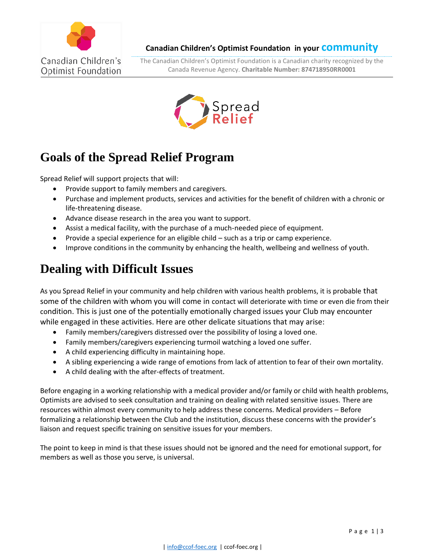

**Canadian Children's Optimist Foundation in your community**

The Canadian Children's Optimist Foundation is a Canadian charity recognized by the Canada Revenue Agency. **Charitable Number: 874718950RR0001**



## **Goals of the Spread Relief Program**

Spread Relief will support projects that will:

- Provide support to family members and caregivers.
- Purchase and implement products, services and activities for the benefit of children with a chronic or life-threatening disease.
- Advance disease research in the area you want to support.
- Assist a medical facility, with the purchase of a much-needed piece of equipment.
- Provide a special experience for an eligible child such as a trip or camp experience.
- Improve conditions in the community by enhancing the health, wellbeing and wellness of youth.

## **Dealing with Difficult Issues**

As you Spread Relief in your community and help children with various health problems, it is probable that some of the children with whom you will come in contact will deteriorate with time or even die from their condition. This is just one of the potentially emotionally charged issues your Club may encounter while engaged in these activities. Here are other delicate situations that may arise:

- Family members/caregivers distressed over the possibility of losing a loved one.
- Family members/caregivers experiencing turmoil watching a loved one suffer.
- A child experiencing difficulty in maintaining hope.
- A sibling experiencing a wide range of emotions from lack of attention to fear of their own mortality.
- A child dealing with the after-effects of treatment.

Before engaging in a working relationship with a medical provider and/or family or child with health problems, Optimists are advised to seek consultation and training on dealing with related sensitive issues. There are resources within almost every community to help address these concerns. Medical providers – Before formalizing a relationship between the Club and the institution, discuss these concerns with the provider's liaison and request specific training on sensitive issues for your members.

The point to keep in mind is that these issues should not be ignored and the need for emotional support, for members as well as those you serve, is universal.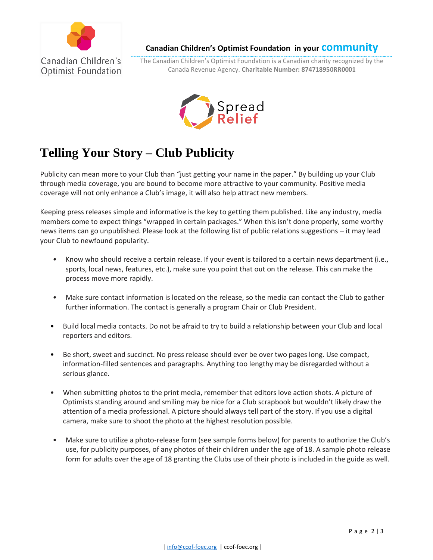

**Canadian Children's Optimist Foundation in your community**

The Canadian Children's Optimist Foundation is a Canadian charity recognized by the Canada Revenue Agency. **Charitable Number: 874718950RR0001**



## **Telling Your Story – Club Publicity**

Publicity can mean more to your Club than "just getting your name in the paper." By building up your Club through media coverage, you are bound to become more attractive to your community. Positive media coverage will not only enhance a Club's image, it will also help attract new members.

Keeping press releases simple and informative is the key to getting them published. Like any industry, media members come to expect things "wrapped in certain packages." When this isn't done properly, some worthy news items can go unpublished. Please look at the following list of public relations suggestions – it may lead your Club to newfound popularity.

- Know who should receive a certain release. If your event is tailored to a certain news department (i.e., sports, local news, features, etc.), make sure you point that out on the release. This can make the process move more rapidly.
- Make sure contact information is located on the release, so the media can contact the Club to gather further information. The contact is generally a program Chair or Club President.
- Build local media contacts. Do not be afraid to try to build a relationship between your Club and local reporters and editors.
- Be short, sweet and succinct. No press release should ever be over two pages long. Use compact, information-filled sentences and paragraphs. Anything too lengthy may be disregarded without a serious glance.
- When submitting photos to the print media, remember that editors love action shots. A picture of Optimists standing around and smiling may be nice for a Club scrapbook but wouldn't likely draw the attention of a media professional. A picture should always tell part of the story. If you use a digital camera, make sure to shoot the photo at the highest resolution possible.
- Make sure to utilize a photo-release form (see sample forms below) for parents to authorize the Club's use, for publicity purposes, of any photos of their children under the age of 18. A sample photo release form for adults over the age of 18 granting the Clubs use of their photo is included in the guide as well.